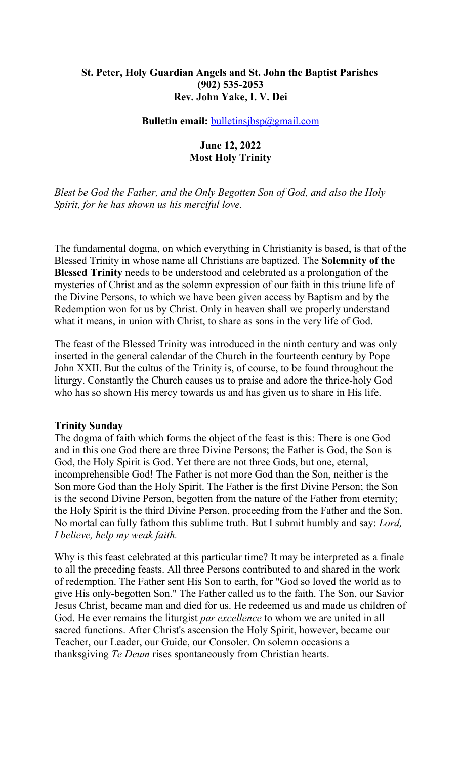## **St. Peter, Holy Guardian Angels and St. John the Baptist Parishes (902) 535-2053 Rev. John Yake, I. V. Dei**

#### **Bulletin email: bulletinsjbsp**@gmail.com

## **June 12, 2022 Most Holy Trinity**

*Blest be God the Father, and the Only Begotten Son of God, and also the Holy Spirit, for he has shown us his merciful love.*

The fundamental dogma, on which everything in Christianity is based, is that of the Blessed Trinity in whose name all Christians are baptized. The **Solemnity of the Blessed Trinity** needs to be understood and celebrated as a prolongation of the mysteries of Christ and as the solemn expression of our faith in this triune life of the Divine Persons, to which we have been given access by Baptism and by the Redemption won for us by Christ. Only in heaven shall we properly understand what it means, in union with Christ, to share as sons in the very life of God.

The feast of the Blessed Trinity was introduced in the ninth century and was only inserted in the general calendar of the Church in the fourteenth century by Pope John XXII. But the cultus of the Trinity is, of course, to be found throughout the liturgy. Constantly the Church causes us to praise and adore the thrice-holy God who has so shown His mercy towards us and has given us to share in His life.

#### **Trinity Sunday**

The dogma of faith which forms the object of the feast is this: There is one God and in this one God there are three Divine Persons; the Father is God, the Son is God, the Holy Spirit is God. Yet there are not three Gods, but one, eternal, incomprehensible God! The Father is not more God than the Son, neither is the Son more God than the Holy Spirit. The Father is the first Divine Person; the Son is the second Divine Person, begotten from the nature of the Father from eternity; the Holy Spirit is the third Divine Person, proceeding from the Father and the Son. No mortal can fully fathom this sublime truth. But I submit humbly and say: *Lord, I believe, help my weak faith.*

Why is this feast celebrated at this particular time? It may be interpreted as a finale to all the preceding feasts. All three Persons contributed to and shared in the work of redemption. The Father sent His Son to earth, for "God so loved the world as to give His only-begotten Son." The Father called us to the faith. The Son, our Savior Jesus Christ, became man and died for us. He redeemed us and made us children of God. He ever remains the liturgist *par excellence* to whom we are united in all sacred functions. After Christ's ascension the Holy Spirit, however, became our Teacher, our Leader, our Guide, our Consoler. On solemn occasions a thanksgiving *Te Deum* rises spontaneously from Christian hearts.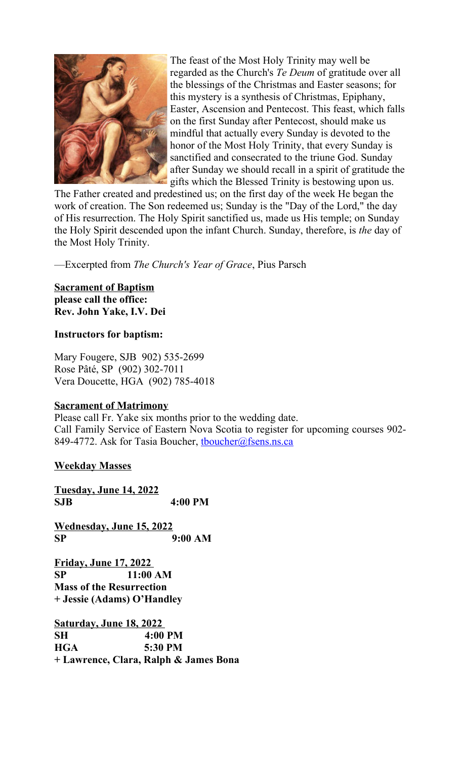

The feast of the Most Holy Trinity may well be regarded as the Church's *Te Deum* of gratitude over all the blessings of the Christmas and Easter seasons; for this mystery is a synthesis of Christmas, Epiphany, Easter, Ascension and Pentecost. This feast, which falls on the first Sunday after Pentecost, should make us mindful that actually every Sunday is devoted to the honor of the Most Holy Trinity, that every Sunday is sanctified and consecrated to the triune God. Sunday after Sunday we should recall in a spirit of gratitude the gifts which the Blessed Trinity is bestowing upon us.

The Father created and predestined us; on the first day of the week He began the work of creation. The Son redeemed us; Sunday is the "Day of the Lord," the day of His resurrection. The Holy Spirit sanctified us, made us His temple; on Sunday the Holy Spirit descended upon the infant Church. Sunday, therefore, is *the* day of the Most Holy Trinity.

—Excerpted from *The Church's Year of Grace*, Pius Parsch

### **Sacrament of Baptism please call the office: Rev. John Yake, I.V. Dei**

## **Instructors for baptism:**

Mary Fougere, SJB 902) 535-2699 Rose Pâté, SP (902) 302-7011 Vera Doucette, HGA (902) 785-4018

## **Sacrament of Matrimony**

Please call Fr. Yake six months prior to the wedding date. Call Family Service of Eastern Nova Scotia to register for upcoming courses 902- 849-4772. Ask for Tasia Boucher, thoucher@fsens.ns.ca

## **Weekday Masses**

**Tuesday, June 14, 2022 SJB 4:00 PM**

**Wednesday, June 15, 2022 SP 9:00 AM**

**Friday, June 17, 2022 SP 11:00 AM Mass of the Resurrection + Jessie (Adams) O'Handley** 

**Saturday, June 18, 2022 SH 4:00 PM HGA 5:30 PM + Lawrence, Clara, Ralph & James Bona**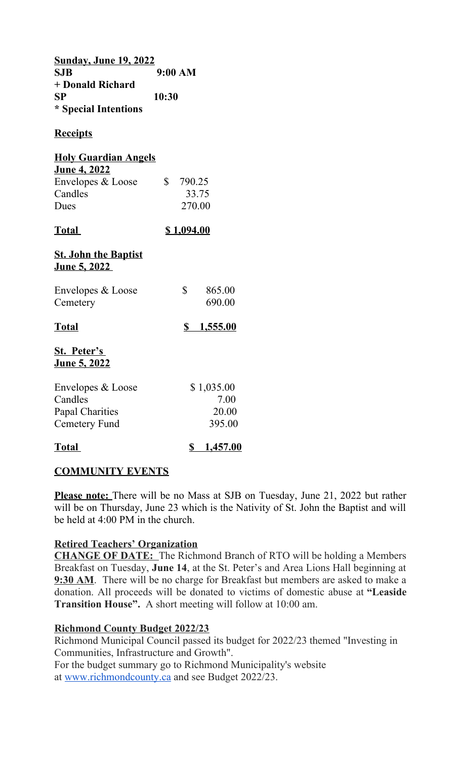**Sunday, June 19, 2022 SJB 9:00 AM + Donald Richard SP 10:30 \* Special Intentions**

# **Receipts**

| <b>Holy Guardian Angels</b> |  |                     |  |  |
|-----------------------------|--|---------------------|--|--|
| <u>June 4, 2022</u>         |  |                     |  |  |
| Envelopes & Loose           |  | $\frac{\$}{290.25}$ |  |  |
| <b>Candles</b>              |  | 33.75               |  |  |

| Candles | 33.75  |
|---------|--------|
| Dues    | 270.00 |

# **Total \$ 1,094.00**

## **St. John the Baptist June 5, 2022**

| <b>Total</b>                  | <u>1,555.00</u>  |
|-------------------------------|------------------|
| Envelopes & Loose<br>Cemetery | 865.00<br>690.00 |
|                               |                  |

# **St. Peter's**

# **June 5, 2022**

| Envelopes & Loose | \$1,035.00 |
|-------------------|------------|
| Candles           | 7.00       |
| Papal Charities   | 20.00      |
| Cemetery Fund     | 395.00     |
|                   |            |

# **Total \$ 1,457.00**

# **COMMUNITY EVENTS**

Please note: There will be no Mass at SJB on Tuesday, June 21, 2022 but rather will be on Thursday, June 23 which is the Nativity of St. John the Baptist and will be held at 4:00 PM in the church.

# **Retired Teachers' Organization**

**CHANGE OF DATE:** The Richmond Branch of RTO will be holding a Members Breakfast on Tuesday, **June 14**, at the St. Peter's and Area Lions Hall beginning at **9:30 AM**. There will be no charge for Breakfast but members are asked to make a donation. All proceeds will be donated to victims of domestic abuse at **"Leaside Transition House".** A short meeting will follow at 10:00 am.

# **Richmond County Budget 2022/23**

Richmond Municipal Council passed its budget for 2022/23 themed "Investing in Communities, Infrastructure and Growth". For the budget summary go to Richmond Municipality's website at [www.richmondcounty.ca](http://www.richmondcounty.ca/) and see Budget 2022/23.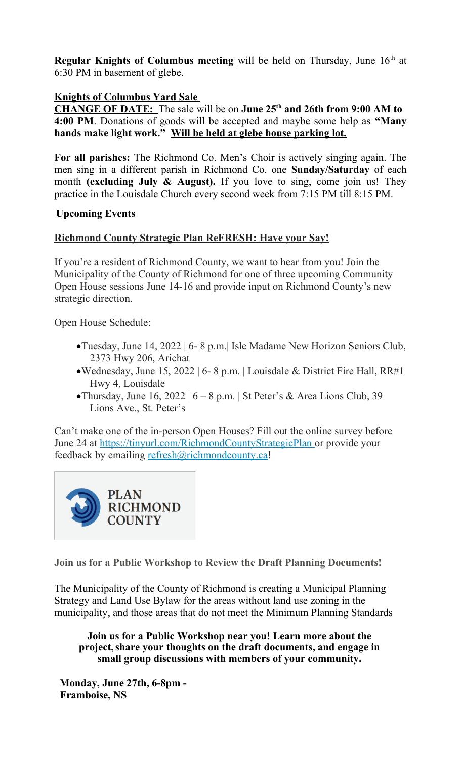**Regular Knights of Columbus meeting** will be held on Thursday, June 16<sup>th</sup> at 6:30 PM in basement of glebe.

## **Knights of Columbus Yard Sale**

**CHANGE OF DATE:** The sale will be on **June 25th and 26th from 9:00 AM to 4:00 PM**. Donations of goods will be accepted and maybe some help as **"Many hands make light work." Will be held at glebe house parking lot.**

**For all parishes:** The Richmond Co. Men's Choir is actively singing again. The men sing in a different parish in Richmond Co. one **Sunday/Saturday** of each month **(excluding July & August).** If you love to sing, come join us! They practice in the Louisdale Church every second week from 7:15 PM till 8:15 PM.

## **Upcoming Events**

## **Richmond County Strategic Plan ReFRESH: Have your Say!**

If you're a resident of Richmond County, we want to hear from you! Join the Municipality of the County of Richmond for one of three upcoming Community Open House sessions June 14-16 and provide input on Richmond County's new strategic direction.

Open House Schedule:

- Tuesday, June 14, 2022 | 6- 8 p.m.| Isle Madame New Horizon Seniors Club, 2373 Hwy 206, Arichat
- Wednesday, June 15, 2022 | 6- 8 p.m. | Louisdale & District Fire Hall, RR#1 Hwy 4, Louisdale
- Thursday, June 16, 2022 |  $6 8$  p.m. | St Peter's & Area Lions Club, 39 Lions Ave., St. Peter's

Can't make one of the in-person Open Houses? Fill out the online survey before June 24 at<https://tinyurl.com/RichmondCountyStrategicPlan> or provide your feedback by emailing [refresh@richmondcounty.ca!](mailto:refresh@richmondcounty.ca)



**Join us for a Public Workshop to Review the Draft Planning Documents!**

The Municipality of the County of Richmond is creating a Municipal Planning Strategy and Land Use Bylaw for the areas without land use zoning in the municipality, and those areas that do not meet the Minimum Planning Standards

**Join us for a Public Workshop near you! Learn more about the project,share your thoughts on the draft documents, and engage in small group discussions with members of your community.**

**Monday, June 27th, 6-8pm - Framboise, NS**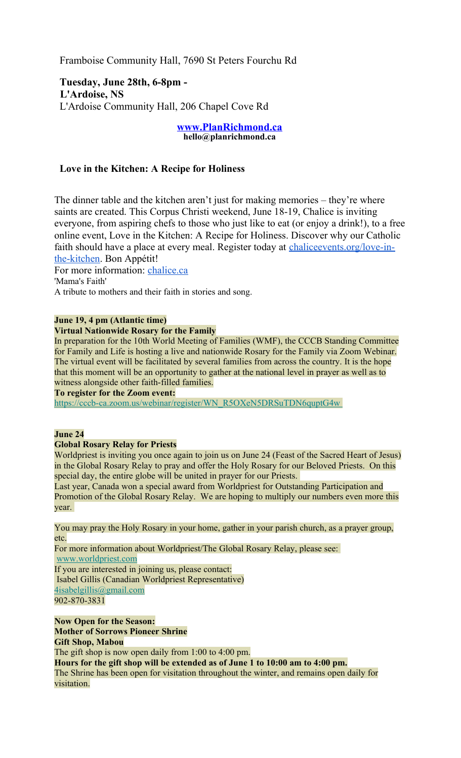Framboise Community Hall, 7690 St Peters Fourchu Rd

**Tuesday, June 28th, 6-8pm - L'Ardoise, NS** L'Ardoise Community Hall, 206 Chapel Cove Rd

#### **[www.PlanRichmond.ca](http://www.PlanRichmond.ca/) hello@planrichmond.ca**

### **Love in the Kitchen: A Recipe for Holiness**

The dinner table and the kitchen aren't just for making memories – they're where saints are created. This Corpus Christi weekend, June 18-19, Chalice is inviting everyone, from aspiring chefs to those who just like to eat (or enjoy a drink!), to a free online event, Love in the Kitchen: A Recipe for Holiness. Discover why our Catholic faith should have a place at every meal. Register today at [chaliceevents.org/love-in](http://chaliceevents.org/love-in-the-kitchen)[the-kitchen.](http://chaliceevents.org/love-in-the-kitchen) Bon Appétit!

For more information: [chalice.ca](http://chalice.ca/) 'Mama's Faith'

A tribute to mothers and their faith in stories and song.

#### **June 19, 4 pm (Atlantic time)**

#### **Virtual Nationwide Rosary for the Family**

In preparation for the 10th World Meeting of Families (WMF), the CCCB Standing Committee for Family and Life is hosting a live and nationwide Rosary for the Family via Zoom Webinar. The virtual event will be facilitated by several families from across the country. It is the hope that this moment will be an opportunity to gather at the national level in prayer as well as to witness alongside other faith-filled families.

**To register for the Zoom event:**

 [https://cccb-ca.zoom.us/webinar/register/WN\\_R5OXeN5DRSuTDN6quptG4w](https://antigonishdiocese.us11.list-manage.com/track/click?u=46108c95b96680ff598b4aa1d&id=ced77d1d8b&e=60939d450d)

#### **June 24**

visitation.

#### **Global Rosary Relay for Priests**

Worldpriest is inviting you once again to join us on June 24 (Feast of the Sacred Heart of Jesus) in the Global Rosary Relay to pray and offer the Holy Rosary for our Beloved Priests. On this special day, the entire globe will be united in prayer for our Priests.

Last year, Canada won a special award from Worldpriest for Outstanding Participation and Promotion of the Global Rosary Relay. We are hoping to multiply our numbers even more this year.

You may pray the Holy Rosary in your home, gather in your parish church, as a prayer group, etc.

For more information about Worldpriest/The Global Rosary Relay, please see: [www.worldpriest.com](https://antigonishdiocese.us11.list-manage.com/track/click?u=46108c95b96680ff598b4aa1d&id=4f9fab1a7e&e=60939d450d) If you are interested in joining us, please contact: Isabel Gillis (Canadian Worldpriest Representative) [4isabelgillis@gmail.com](mailto:4isabelgillis@gmail.com) 902-870-3831

**Now Open for the Season: Mother of Sorrows Pioneer Shrine Gift Shop, Mabou**

The gift shop is now open daily from 1:00 to 4:00 pm. **Hours for the gift shop will be extended as of June 1 to 10:00 am to 4:00 pm.** The Shrine has been open for visitation throughout the winter, and remains open daily for